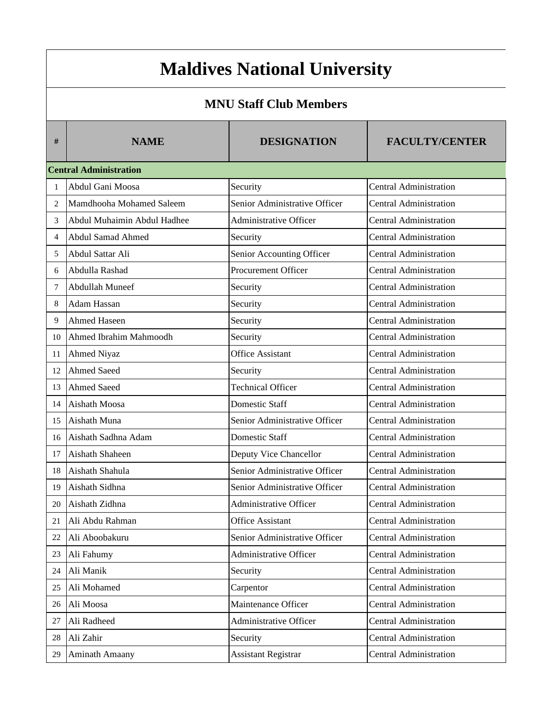## **Maldives National University**

## **MNU Staff Club Members**

| #  | <b>NAME</b>                   | <b>DESIGNATION</b>            | <b>FACULTY/CENTER</b>         |
|----|-------------------------------|-------------------------------|-------------------------------|
|    | <b>Central Administration</b> |                               |                               |
| 1  | Abdul Gani Moosa              | Security                      | <b>Central Administration</b> |
| 2  | Mamdhooha Mohamed Saleem      | Senior Administrative Officer | <b>Central Administration</b> |
| 3  | Abdul Muhaimin Abdul Hadhee   | Administrative Officer        | <b>Central Administration</b> |
| 4  | Abdul Samad Ahmed             | Security                      | <b>Central Administration</b> |
| 5  | Abdul Sattar Ali              | Senior Accounting Officer     | <b>Central Administration</b> |
| 6  | Abdulla Rashad                | Procurement Officer           | <b>Central Administration</b> |
| 7  | Abdullah Muneef               | Security                      | <b>Central Administration</b> |
| 8  | <b>Adam Hassan</b>            | Security                      | <b>Central Administration</b> |
| 9  | Ahmed Haseen                  | Security                      | <b>Central Administration</b> |
| 10 | Ahmed Ibrahim Mahmoodh        | Security                      | <b>Central Administration</b> |
| 11 | <b>Ahmed Niyaz</b>            | <b>Office Assistant</b>       | <b>Central Administration</b> |
| 12 | <b>Ahmed Saeed</b>            | Security                      | <b>Central Administration</b> |
| 13 | <b>Ahmed Saeed</b>            | <b>Technical Officer</b>      | <b>Central Administration</b> |
| 14 | Aishath Moosa                 | <b>Domestic Staff</b>         | <b>Central Administration</b> |
| 15 | Aishath Muna                  | Senior Administrative Officer | <b>Central Administration</b> |
| 16 | Aishath Sadhna Adam           | <b>Domestic Staff</b>         | <b>Central Administration</b> |
| 17 | Aishath Shaheen               | Deputy Vice Chancellor        | <b>Central Administration</b> |
| 18 | Aishath Shahula               | Senior Administrative Officer | <b>Central Administration</b> |
| 19 | Aishath Sidhna                | Senior Administrative Officer | <b>Central Administration</b> |
| 20 | Aishath Zidhna                | Administrative Officer        | <b>Central Administration</b> |
| 21 | Ali Abdu Rahman               | <b>Office Assistant</b>       | <b>Central Administration</b> |
| 22 | Ali Aboobakuru                | Senior Administrative Officer | <b>Central Administration</b> |
| 23 | Ali Fahumy                    | Administrative Officer        | <b>Central Administration</b> |
| 24 | Ali Manik                     | Security                      | <b>Central Administration</b> |
| 25 | Ali Mohamed                   | Carpentor                     | <b>Central Administration</b> |
| 26 | Ali Moosa                     | Maintenance Officer           | <b>Central Administration</b> |
| 27 | Ali Radheed                   | Administrative Officer        | <b>Central Administration</b> |
| 28 | Ali Zahir                     | Security                      | <b>Central Administration</b> |
| 29 | <b>Aminath Amaany</b>         | <b>Assistant Registrar</b>    | <b>Central Administration</b> |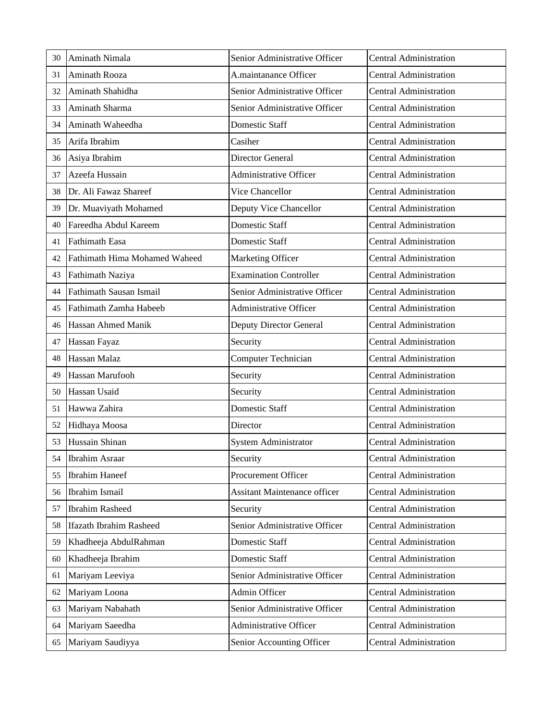| 30 | Aminath Nimala                 | Senior Administrative Officer       | <b>Central Administration</b> |
|----|--------------------------------|-------------------------------------|-------------------------------|
| 31 | Aminath Rooza                  | A.maintanance Officer               | <b>Central Administration</b> |
| 32 | Aminath Shahidha               | Senior Administrative Officer       | <b>Central Administration</b> |
| 33 | Aminath Sharma                 | Senior Administrative Officer       | <b>Central Administration</b> |
| 34 | Aminath Waheedha               | Domestic Staff                      | <b>Central Administration</b> |
| 35 | Arifa Ibrahim                  | Casiher                             | <b>Central Administration</b> |
| 36 | Asiya Ibrahim                  | Director General                    | <b>Central Administration</b> |
| 37 | Azeefa Hussain                 | <b>Administrative Officer</b>       | <b>Central Administration</b> |
| 38 | Dr. Ali Fawaz Shareef          | Vice Chancellor                     | <b>Central Administration</b> |
| 39 | Dr. Muaviyath Mohamed          | Deputy Vice Chancellor              | <b>Central Administration</b> |
| 40 | Fareedha Abdul Kareem          | <b>Domestic Staff</b>               | <b>Central Administration</b> |
| 41 | <b>Fathimath Easa</b>          | <b>Domestic Staff</b>               | <b>Central Administration</b> |
| 42 | Fathimath Hima Mohamed Waheed  | Marketing Officer                   | <b>Central Administration</b> |
| 43 | Fathimath Naziya               | <b>Examination Controller</b>       | <b>Central Administration</b> |
| 44 | Fathimath Sausan Ismail        | Senior Administrative Officer       | <b>Central Administration</b> |
| 45 | Fathimath Zamha Habeeb         | Administrative Officer              | <b>Central Administration</b> |
| 46 | Hassan Ahmed Manik             | Deputy Director General             | <b>Central Administration</b> |
| 47 | Hassan Fayaz                   | Security                            | <b>Central Administration</b> |
| 48 | Hassan Malaz                   | <b>Computer Technician</b>          | <b>Central Administration</b> |
| 49 | Hassan Marufooh                | Security                            | <b>Central Administration</b> |
| 50 | Hassan Usaid                   | Security                            | <b>Central Administration</b> |
| 51 | Hawwa Zahira                   | Domestic Staff                      | <b>Central Administration</b> |
| 52 | Hidhaya Moosa                  | Director                            | <b>Central Administration</b> |
| 53 | Hussain Shinan                 | System Administrator                | <b>Central Administration</b> |
| 54 | Ibrahim Asraar                 | Security                            | Central Administration        |
| 55 | <b>Ibrahim Haneef</b>          | Procurement Officer                 | <b>Central Administration</b> |
| 56 | Ibrahim Ismail                 | <b>Assitant Maintenance officer</b> | <b>Central Administration</b> |
| 57 | <b>Ibrahim Rasheed</b>         | Security                            | <b>Central Administration</b> |
| 58 | <b>Ifazath Ibrahim Rasheed</b> | Senior Administrative Officer       | <b>Central Administration</b> |
| 59 | Khadheeja AbdulRahman          | Domestic Staff                      | <b>Central Administration</b> |
| 60 | Khadheeja Ibrahim              | Domestic Staff                      | <b>Central Administration</b> |
| 61 | Mariyam Leeviya                | Senior Administrative Officer       | <b>Central Administration</b> |
| 62 | Mariyam Loona                  | Admin Officer                       | <b>Central Administration</b> |
| 63 | Mariyam Nabahath               | Senior Administrative Officer       | <b>Central Administration</b> |
| 64 | Mariyam Saeedha                | Administrative Officer              | <b>Central Administration</b> |
| 65 | Mariyam Saudiyya               | Senior Accounting Officer           | <b>Central Administration</b> |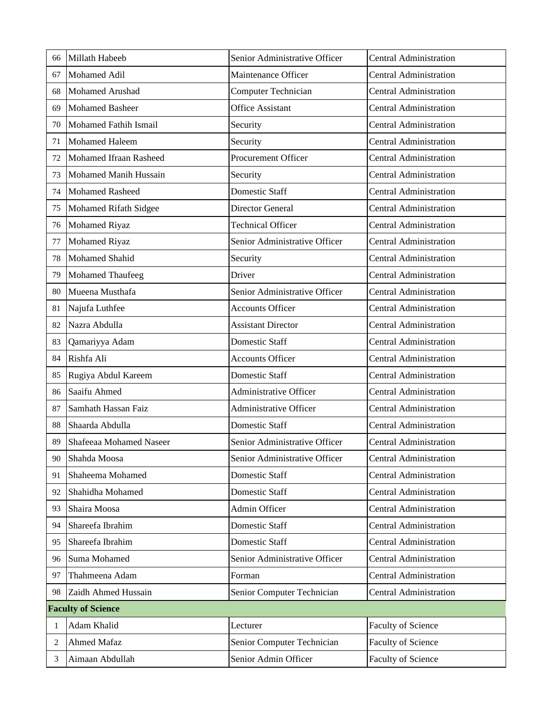| 66 | Millath Habeeb            | Senior Administrative Officer | <b>Central Administration</b> |
|----|---------------------------|-------------------------------|-------------------------------|
| 67 | Mohamed Adil              | Maintenance Officer           | <b>Central Administration</b> |
| 68 | Mohamed Arushad           | <b>Computer Technician</b>    | <b>Central Administration</b> |
| 69 | Mohamed Basheer           | <b>Office Assistant</b>       | <b>Central Administration</b> |
| 70 | Mohamed Fathih Ismail     | Security                      | <b>Central Administration</b> |
| 71 | <b>Mohamed Haleem</b>     | Security                      | <b>Central Administration</b> |
| 72 | Mohamed Ifraan Rasheed    | Procurement Officer           | <b>Central Administration</b> |
| 73 | Mohamed Manih Hussain     | Security                      | <b>Central Administration</b> |
| 74 | <b>Mohamed Rasheed</b>    | <b>Domestic Staff</b>         | <b>Central Administration</b> |
| 75 | Mohamed Rifath Sidgee     | Director General              | <b>Central Administration</b> |
| 76 | Mohamed Riyaz             | <b>Technical Officer</b>      | <b>Central Administration</b> |
| 77 | <b>Mohamed Riyaz</b>      | Senior Administrative Officer | <b>Central Administration</b> |
| 78 | Mohamed Shahid            | Security                      | <b>Central Administration</b> |
| 79 | <b>Mohamed Thaufeeg</b>   | Driver                        | <b>Central Administration</b> |
| 80 | Mueena Musthafa           | Senior Administrative Officer | <b>Central Administration</b> |
| 81 | Najufa Luthfee            | <b>Accounts Officer</b>       | <b>Central Administration</b> |
| 82 | Nazra Abdulla             | <b>Assistant Director</b>     | <b>Central Administration</b> |
| 83 | Qamariyya Adam            | Domestic Staff                | <b>Central Administration</b> |
| 84 | Rishfa Ali                | <b>Accounts Officer</b>       | <b>Central Administration</b> |
| 85 | Rugiya Abdul Kareem       | <b>Domestic Staff</b>         | <b>Central Administration</b> |
| 86 | Saaifu Ahmed              | Administrative Officer        | <b>Central Administration</b> |
| 87 | Samhath Hassan Faiz       | <b>Administrative Officer</b> | <b>Central Administration</b> |
| 88 | Shaarda Abdulla           | Domestic Staff                | <b>Central Administration</b> |
| 89 | Shafeeaa Mohamed Naseer   | Senior Administrative Officer | <b>Central Administration</b> |
| 90 | Shahda Moosa              | Senior Administrative Officer | Central Administration        |
| 91 | Shaheema Mohamed          | Domestic Staff                | <b>Central Administration</b> |
| 92 | Shahidha Mohamed          | Domestic Staff                | <b>Central Administration</b> |
| 93 | Shaira Moosa              | Admin Officer                 | <b>Central Administration</b> |
| 94 | Shareefa Ibrahim          | Domestic Staff                | <b>Central Administration</b> |
| 95 | Shareefa Ibrahim          | Domestic Staff                | <b>Central Administration</b> |
| 96 | Suma Mohamed              | Senior Administrative Officer | <b>Central Administration</b> |
| 97 | Thahmeena Adam            | Forman                        | <b>Central Administration</b> |
| 98 | Zaidh Ahmed Hussain       | Senior Computer Technician    | <b>Central Administration</b> |
|    | <b>Faculty of Science</b> |                               |                               |
| 1  | Adam Khalid               | Lecturer                      | Faculty of Science            |
| 2  | Ahmed Mafaz               | Senior Computer Technician    | Faculty of Science            |
| 3  | Aimaan Abdullah           | Senior Admin Officer          | Faculty of Science            |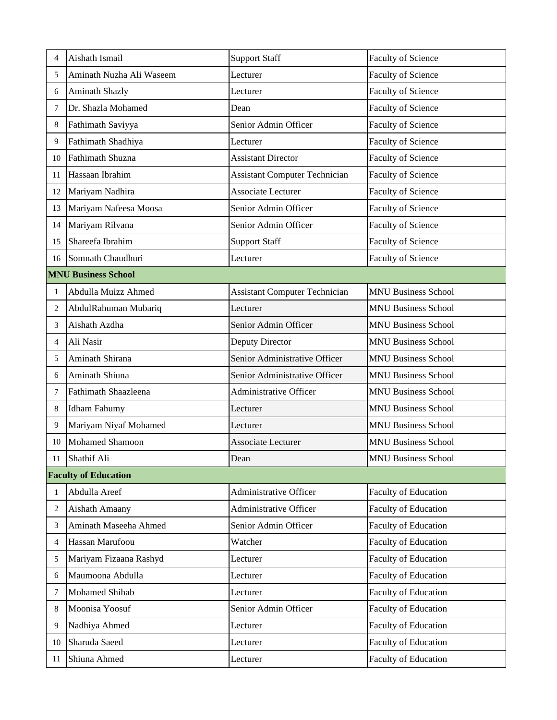| 4              | Aishath Ismail              | <b>Support Staff</b>                 | Faculty of Science          |
|----------------|-----------------------------|--------------------------------------|-----------------------------|
| 5              | Aminath Nuzha Ali Waseem    | Lecturer                             | Faculty of Science          |
| 6              | <b>Aminath Shazly</b>       | Lecturer                             | Faculty of Science          |
| 7              | Dr. Shazla Mohamed          | Dean                                 | Faculty of Science          |
| 8              | Fathimath Saviyya           | Senior Admin Officer                 | Faculty of Science          |
| 9              | Fathimath Shadhiya          | Lecturer                             | Faculty of Science          |
| 10             | Fathimath Shuzna            | <b>Assistant Director</b>            | Faculty of Science          |
| 11             | Hassaan Ibrahim             | <b>Assistant Computer Technician</b> | Faculty of Science          |
| 12             | Mariyam Nadhira             | Associate Lecturer                   | Faculty of Science          |
| 13             | Mariyam Nafeesa Moosa       | Senior Admin Officer                 | Faculty of Science          |
| 14             | Mariyam Rilvana             | Senior Admin Officer                 | Faculty of Science          |
| 15             | Shareefa Ibrahim            | <b>Support Staff</b>                 | Faculty of Science          |
| 16             | Somnath Chaudhuri           | Lecturer                             | <b>Faculty of Science</b>   |
|                | <b>MNU Business School</b>  |                                      |                             |
| 1              | Abdulla Muizz Ahmed         | <b>Assistant Computer Technician</b> | <b>MNU Business School</b>  |
| $\overline{c}$ | AbdulRahuman Mubariq        | Lecturer                             | <b>MNU Business School</b>  |
| 3              | Aishath Azdha               | Senior Admin Officer                 | <b>MNU Business School</b>  |
| 4              | Ali Nasir                   | Deputy Director                      | <b>MNU Business School</b>  |
| 5              | Aminath Shirana             | Senior Administrative Officer        | <b>MNU Business School</b>  |
| 6              | Aminath Shiuna              | Senior Administrative Officer        | <b>MNU Business School</b>  |
| 7              | Fathimath Shaazleena        | Administrative Officer               | <b>MNU Business School</b>  |
| 8              | <b>Idham Fahumy</b>         | Lecturer                             | <b>MNU Business School</b>  |
| 9              | Mariyam Niyaf Mohamed       | Lecturer                             | <b>MNU Business School</b>  |
| 10             | <b>Mohamed Shamoon</b>      | Associate Lecturer                   | <b>MNU Business School</b>  |
| $11\,$         | Shathif Ali                 | Dean                                 | <b>MNU Business School</b>  |
|                | <b>Faculty of Education</b> |                                      |                             |
| $\mathbf{1}$   | Abdulla Areef               | <b>Administrative Officer</b>        | <b>Faculty of Education</b> |
| $\overline{c}$ | Aishath Amaany              | Administrative Officer               | Faculty of Education        |
| 3              | Aminath Maseeha Ahmed       | Senior Admin Officer                 | Faculty of Education        |
| 4              | Hassan Marufoou             | Watcher                              | Faculty of Education        |
| 5              | Mariyam Fizaana Rashyd      | Lecturer                             | Faculty of Education        |
| 6              | Maumoona Abdulla            | Lecturer                             | Faculty of Education        |
| 7              | Mohamed Shihab              | Lecturer                             | Faculty of Education        |
| 8              | Moonisa Yoosuf              | Senior Admin Officer                 | Faculty of Education        |
| 9              | Nadhiya Ahmed               | Lecturer                             | Faculty of Education        |
| 10             | Sharuda Saeed               | Lecturer                             | Faculty of Education        |
| 11             | Shiuna Ahmed                | Lecturer                             | Faculty of Education        |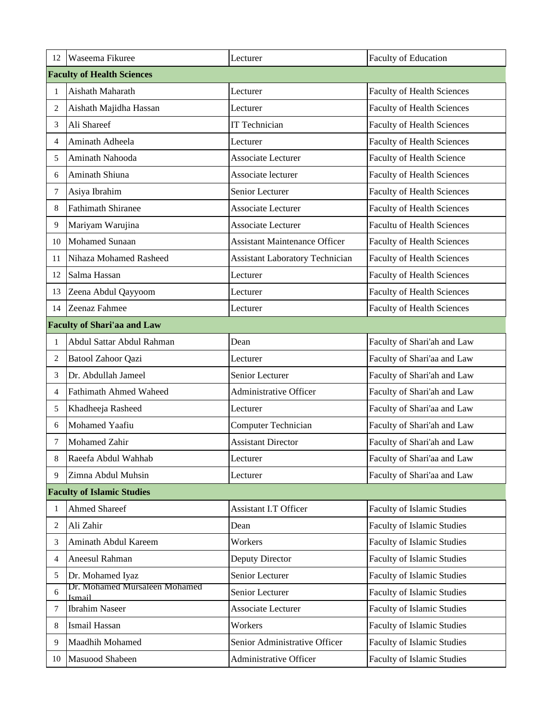| 12             | Waseema Fikuree                         | Lecturer                               | Faculty of Education              |  |
|----------------|-----------------------------------------|----------------------------------------|-----------------------------------|--|
|                | <b>Faculty of Health Sciences</b>       |                                        |                                   |  |
| 1              | Aishath Maharath                        | Lecturer                               | <b>Faculty of Health Sciences</b> |  |
| $\overline{c}$ | Aishath Majidha Hassan                  | Lecturer                               | <b>Faculty of Health Sciences</b> |  |
| 3              | Ali Shareef                             | <b>IT Technician</b>                   | <b>Faculty of Health Sciences</b> |  |
| 4              | Aminath Adheela                         | Lecturer                               | <b>Faculty of Health Sciences</b> |  |
| 5              | Aminath Nahooda                         | Associate Lecturer                     | Faculty of Health Science         |  |
| 6              | Aminath Shiuna                          | Associate lecturer                     | <b>Faculty of Health Sciences</b> |  |
| 7              | Asiya Ibrahim                           | Senior Lecturer                        | <b>Faculty of Health Sciences</b> |  |
| 8              | <b>Fathimath Shiranee</b>               | Associate Lecturer                     | <b>Faculty of Health Sciences</b> |  |
| 9              | Mariyam Warujina                        | Associate Lecturer                     | <b>Facultu of Health Sciences</b> |  |
| 10             | <b>Mohamed Sunaan</b>                   | <b>Assistant Maintenance Officer</b>   | <b>Faculty of Health Sciences</b> |  |
| 11             | Nihaza Mohamed Rasheed                  | <b>Assistant Laboratory Technician</b> | <b>Faculty of Health Sciences</b> |  |
| 12             | Salma Hassan                            | Lecturer                               | <b>Faculty of Health Sciences</b> |  |
| 13             | Zeena Abdul Qayyoom                     | Lecturer                               | <b>Faculty of Health Sciences</b> |  |
| 14             | Zeenaz Fahmee                           | Lecturer                               | <b>Faculty of Health Sciences</b> |  |
|                | <b>Faculty of Shari'aa and Law</b>      |                                        |                                   |  |
| $\mathbf{1}$   | Abdul Sattar Abdul Rahman               | Dean                                   | Faculty of Shari'ah and Law       |  |
| $\overline{2}$ | Batool Zahoor Qazi                      | Lecturer                               | Faculty of Shari'aa and Law       |  |
| 3              | Dr. Abdullah Jameel                     | Senior Lecturer                        | Faculty of Shari'ah and Law       |  |
| 4              | <b>Fathimath Ahmed Waheed</b>           | <b>Administrative Officer</b>          | Faculty of Shari'ah and Law       |  |
| 5              | Khadheeja Rasheed                       | Lecturer                               | Faculty of Shari'aa and Law       |  |
| 6              | Mohamed Yaafiu                          | Computer Technician                    | Faculty of Shari'ah and Law       |  |
| 7              | Mohamed Zahir                           | <b>Assistant Director</b>              | Faculty of Shari'ah and Law       |  |
| 8              | Raeefa Abdul Wahhab                     | Lecturer                               | Faculty of Shari'aa and Law       |  |
| 9              | Zimna Abdul Muhsin                      | Lecturer                               | Faculty of Shari'aa and Law       |  |
|                | <b>Faculty of Islamic Studies</b>       |                                        |                                   |  |
| $\mathbf{1}$   | <b>Ahmed Shareef</b>                    | Assistant I.T Officer                  | <b>Faculty of Islamic Studies</b> |  |
| 2              | Ali Zahir                               | Dean                                   | <b>Faculty of Islamic Studies</b> |  |
| 3              | Aminath Abdul Kareem                    | Workers                                | <b>Faculty of Islamic Studies</b> |  |
| 4              | Aneesul Rahman                          | Deputy Director                        | <b>Faculty of Islamic Studies</b> |  |
| 5              | Dr. Mohamed Iyaz                        | Senior Lecturer                        | <b>Faculty of Islamic Studies</b> |  |
| 6              | Dr. Mohamed Mursaleen Mohamed<br>Ismail | Senior Lecturer                        | <b>Faculty of Islamic Studies</b> |  |
| 7              | <b>Ibrahim Naseer</b>                   | Associate Lecturer                     | Faculty of Islamic Studies        |  |
| $8\,$          | Ismail Hassan                           | Workers                                | Faculty of Islamic Studies        |  |
| 9              | Maadhih Mohamed                         | Senior Administrative Officer          | <b>Faculty of Islamic Studies</b> |  |
| 10             | Masuood Shabeen                         | Administrative Officer                 | Faculty of Islamic Studies        |  |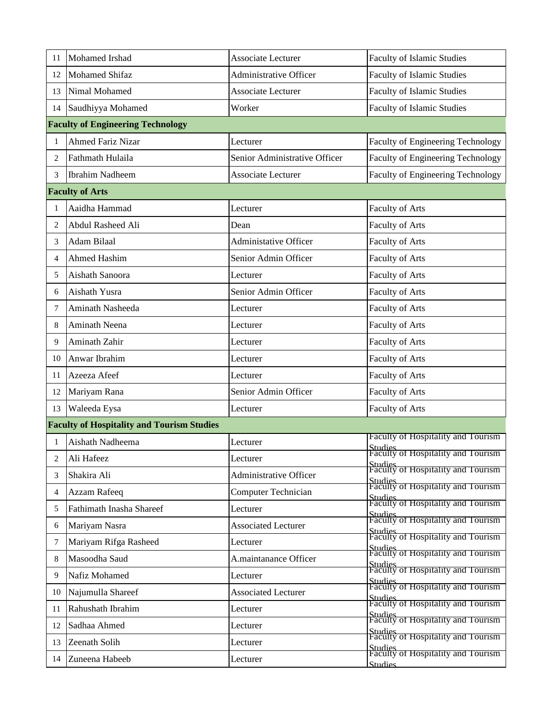| 11 | Mohamed Irshad                                    | Associate Lecturer            | Faculty of Islamic Studies                                      |
|----|---------------------------------------------------|-------------------------------|-----------------------------------------------------------------|
| 12 | <b>Mohamed Shifaz</b>                             | <b>Administrative Officer</b> | <b>Faculty of Islamic Studies</b>                               |
| 13 | Nimal Mohamed                                     | Associate Lecturer            | <b>Faculty of Islamic Studies</b>                               |
| 14 | Saudhiyya Mohamed                                 | Worker                        | <b>Faculty of Islamic Studies</b>                               |
|    | <b>Faculty of Engineering Technology</b>          |                               |                                                                 |
| 1  | <b>Ahmed Fariz Nizar</b>                          | Lecturer                      | <b>Faculty of Engineering Technology</b>                        |
| 2  | Fathmath Hulaila                                  | Senior Administrative Officer | Faculty of Engineering Technology                               |
| 3  | <b>Ibrahim Nadheem</b>                            | Associate Lecturer            | <b>Faculty of Engineering Technology</b>                        |
|    | <b>Faculty of Arts</b>                            |                               |                                                                 |
| 1  | Aaidha Hammad                                     | Lecturer                      | Faculty of Arts                                                 |
| 2  | Abdul Rasheed Ali                                 | Dean                          | Faculty of Arts                                                 |
| 3  | Adam Bilaal                                       | <b>Administative Officer</b>  | Faculty of Arts                                                 |
| 4  | Ahmed Hashim                                      | Senior Admin Officer          | Faculty of Arts                                                 |
| 5  | Aishath Sanoora                                   | Lecturer                      | Faculty of Arts                                                 |
| 6  | Aishath Yusra                                     | Senior Admin Officer          | Faculty of Arts                                                 |
| 7  | Aminath Nasheeda                                  | Lecturer                      | Faculty of Arts                                                 |
| 8  | Aminath Neena                                     | Lecturer                      | Faculty of Arts                                                 |
| 9  | Aminath Zahir                                     | Lecturer                      | Faculty of Arts                                                 |
| 10 | Anwar Ibrahim                                     | Lecturer                      | Faculty of Arts                                                 |
| 11 | Azeeza Afeef                                      | Lecturer                      | Faculty of Arts                                                 |
| 12 | Mariyam Rana                                      | Senior Admin Officer          | Faculty of Arts                                                 |
| 13 | Waleeda Eysa                                      | Lecturer                      | Faculty of Arts                                                 |
|    | <b>Faculty of Hospitality and Tourism Studies</b> |                               |                                                                 |
| 1  | Aishath Nadheema                                  | Lecturer                      | Faculty of Hospitality and Tourism                              |
| 2  | Ali Hafeez                                        | Lecturer                      | Studies<br> Faculty of Hospitality and Tourism_                 |
| 3  | Shakira Ali                                       | Administrative Officer        | Studies<br>Faculty of Hospitality and Tourism                   |
| 4  | Azzam Rafeeq                                      | Computer Technician           | Studies<br>Faculty of Hospitality and Tourism                   |
| 5  | Fathimath Inasha Shareef                          | Lecturer                      | Studies<br>Faculty of Hospitality and Tourism                   |
| 6  | Mariyam Nasra                                     | <b>Associated Lecturer</b>    | Studies<br>Faculty of Hospitality and Tourism                   |
| 7  | Mariyam Rifga Rasheed                             | Lecturer                      | Studies<br>Faculty of Hospitality and Tourism                   |
| 8  | Masoodha Saud                                     | A.maintanance Officer         | Studies<br>Faculty of Hospitality and Tourism                   |
| 9  | Nafiz Mohamed                                     | Lecturer                      | Studies<br>Faculty of Hospitality and Tourism                   |
| 10 | Najumulla Shareef                                 | <b>Associated Lecturer</b>    | Studies<br>Faculty of Hospitality and Tourism                   |
| 11 | Rahushath Ibrahim                                 | Lecturer                      | Studies<br>Faculty of Hospitality and Tourism                   |
| 12 | Sadhaa Ahmed                                      | Lecturer                      | Studies<br>Faculty of Hospitality and Tourism                   |
| 13 | Zeenath Solih                                     | Lecturer                      | Studies<br>Faculty of Hospitality and Tourism                   |
| 14 | Zuneena Habeeb                                    | Lecturer                      | Studies<br>Faculty of Hospitality and Tourism<br><b>Studies</b> |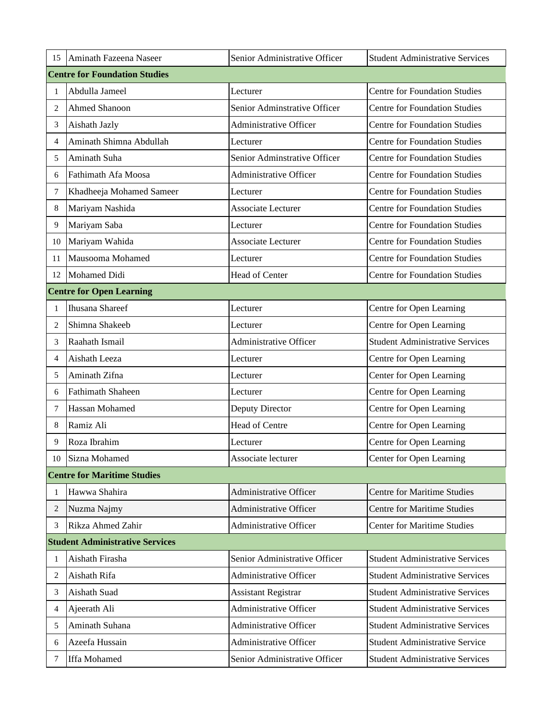| 15             | Aminath Fazeena Naseer                 | Senior Administrative Officer | <b>Student Administrative Services</b> |
|----------------|----------------------------------------|-------------------------------|----------------------------------------|
|                | <b>Centre for Foundation Studies</b>   |                               |                                        |
| 1              | Abdulla Jameel                         | Lecturer                      | <b>Centre for Foundation Studies</b>   |
| 2              | Ahmed Shanoon                          | Senior Adminstrative Officer  | <b>Centre for Foundation Studies</b>   |
| 3              | Aishath Jazly                          | <b>Administrative Officer</b> | <b>Centre for Foundation Studies</b>   |
| 4              | Aminath Shimna Abdullah                | Lecturer                      | <b>Centre for Foundation Studies</b>   |
| 5              | Aminath Suha                           | Senior Adminstrative Officer  | <b>Centre for Foundation Studies</b>   |
| 6              | Fathimath Afa Moosa                    | <b>Administrative Officer</b> | <b>Centre for Foundation Studies</b>   |
| 7              | Khadheeja Mohamed Sameer               | Lecturer                      | <b>Centre for Foundation Studies</b>   |
| 8              | Mariyam Nashida                        | Associate Lecturer            | <b>Centre for Foundation Studies</b>   |
| 9              | Mariyam Saba                           | Lecturer                      | <b>Centre for Foundation Studies</b>   |
| 10             | Mariyam Wahida                         | Associate Lecturer            | <b>Centre for Foundation Studies</b>   |
| 11             | Mausooma Mohamed                       | Lecturer                      | <b>Centre for Foundation Studies</b>   |
| 12             | Mohamed Didi                           | Head of Center                | <b>Centre for Foundation Studies</b>   |
|                | <b>Centre for Open Learning</b>        |                               |                                        |
| 1              | <b>Ihusana Shareef</b>                 | Lecturer                      | Centre for Open Learning               |
| 2              | Shimna Shakeeb                         | Lecturer                      | Centre for Open Learning               |
| 3              | Raahath Ismail                         | <b>Administrative Officer</b> | <b>Student Administrative Services</b> |
| $\overline{4}$ | Aishath Leeza                          | Lecturer                      | Centre for Open Learning               |
| 5              | Aminath Zifna                          | Lecturer                      | Center for Open Learning               |
| 6              | <b>Fathimath Shaheen</b>               | Lecturer                      | Centre for Open Learning               |
| 7              | Hassan Mohamed                         | Deputy Director               | Centre for Open Learning               |
| 8              | Ramiz Ali                              | Head of Centre                | Centre for Open Learning               |
| 9              | Roza Ibrahim                           | Lecturer                      | Centre for Open Learning               |
| $10\,$         | Sizna Mohamed                          | Associate lecturer            | Center for Open Learning               |
|                | <b>Centre for Maritime Studies</b>     |                               |                                        |
| 1              | Hawwa Shahira                          | <b>Administrative Officer</b> | <b>Centre for Maritime Studies</b>     |
| 2              | Nuzma Najmy                            | Administrative Officer        | <b>Centre for Maritime Studies</b>     |
| 3              | Rikza Ahmed Zahir                      | <b>Administrative Officer</b> | <b>Center for Maritime Studies</b>     |
|                | <b>Student Administrative Services</b> |                               |                                        |
| 1              | Aishath Firasha                        | Senior Administrative Officer | <b>Student Administrative Services</b> |
| 2              | Aishath Rifa                           | Administrative Officer        | <b>Student Administrative Services</b> |
| 3              | Aishath Suad                           | <b>Assistant Registrar</b>    | <b>Student Administrative Services</b> |
| 4              | Ajeerath Ali                           | <b>Administrative Officer</b> | <b>Student Administrative Services</b> |
| 5              | Aminath Suhana                         | Administrative Officer        | <b>Student Administrative Services</b> |
| 6              | Azeefa Hussain                         | <b>Administrative Officer</b> | <b>Student Administrative Service</b>  |
| 7              | Iffa Mohamed                           | Senior Administrative Officer | <b>Student Administrative Services</b> |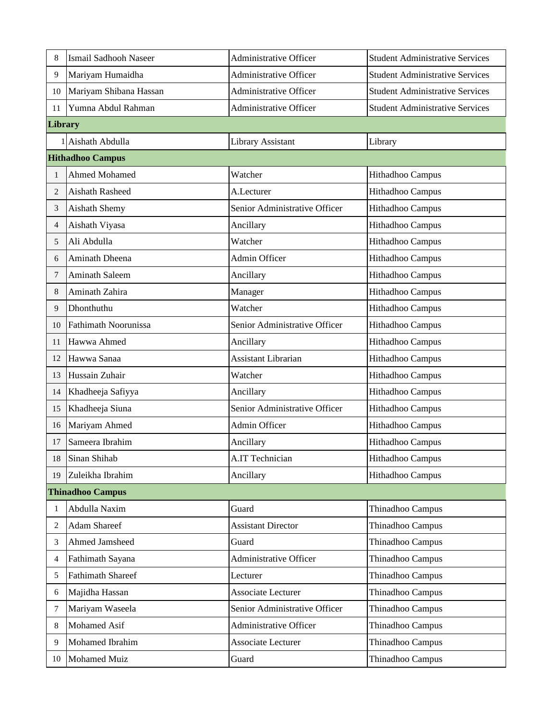| 8       | Ismail Sadhooh Naseer       | <b>Administrative Officer</b> | <b>Student Administrative Services</b> |
|---------|-----------------------------|-------------------------------|----------------------------------------|
| 9       | Mariyam Humaidha            | <b>Administrative Officer</b> | <b>Student Administrative Services</b> |
| 10      | Mariyam Shibana Hassan      | Administrative Officer        | <b>Student Administrative Services</b> |
| 11      | Yumna Abdul Rahman          | <b>Administrative Officer</b> | <b>Student Administrative Services</b> |
| Library |                             |                               |                                        |
|         | 1 Aishath Abdulla           | Library Assistant             | Library                                |
|         | <b>Hithadhoo Campus</b>     |                               |                                        |
| 1       | Ahmed Mohamed               | Watcher                       | Hithadhoo Campus                       |
| 2       | Aishath Rasheed             | A.Lecturer                    | Hithadhoo Campus                       |
| 3       | Aishath Shemy               | Senior Administrative Officer | Hithadhoo Campus                       |
| 4       | Aishath Viyasa              | Ancillary                     | Hithadhoo Campus                       |
| 5       | Ali Abdulla                 | Watcher                       | Hithadhoo Campus                       |
| 6       | Aminath Dheena              | Admin Officer                 | Hithadhoo Campus                       |
| 7       | Aminath Saleem              | Ancillary                     | Hithadhoo Campus                       |
| 8       | Aminath Zahira              | Manager                       | Hithadhoo Campus                       |
| 9       | Dhonthuthu                  | Watcher                       | Hithadhoo Campus                       |
| 10      | <b>Fathimath Noorunissa</b> | Senior Administrative Officer | Hithadhoo Campus                       |
| 11      | Hawwa Ahmed                 | Ancillary                     | Hithadhoo Campus                       |
| 12      | Hawwa Sanaa                 | <b>Assistant Librarian</b>    | Hithadhoo Campus                       |
| 13      | Hussain Zuhair              | Watcher                       | Hithadhoo Campus                       |
| 14      | Khadheeja Safiyya           | Ancillary                     | Hithadhoo Campus                       |
| 15      | Khadheeja Siuna             | Senior Administrative Officer | Hithadhoo Campus                       |
| 16      | Mariyam Ahmed               | Admin Officer                 | Hithadhoo Campus                       |
| 17      | Sameera Ibrahim             | Ancillary                     | Hithadhoo Campus                       |
| 18      | Sinan Shihab                | A.IT Technician               | Hithadhoo Campus                       |
| 19      | Zuleikha Ibrahim            | Ancillary                     | Hithadhoo Campus                       |
|         | <b>Thinadhoo Campus</b>     |                               |                                        |
| 1       | Abdulla Naxim               | Guard                         | Thinadhoo Campus                       |
| 2       | <b>Adam Shareef</b>         | <b>Assistant Director</b>     | Thinadhoo Campus                       |
| 3       | Ahmed Jamsheed              | Guard                         | Thinadhoo Campus                       |
| 4       | Fathimath Sayana            | <b>Administrative Officer</b> | Thinadhoo Campus                       |
| 5       | <b>Fathimath Shareef</b>    | Lecturer                      | Thinadhoo Campus                       |
| 6       | Majidha Hassan              | Associate Lecturer            | Thinadhoo Campus                       |
| 7       | Mariyam Waseela             | Senior Administrative Officer | Thinadhoo Campus                       |
| 8       | Mohamed Asif                | Administrative Officer        | Thinadhoo Campus                       |
| 9       | Mohamed Ibrahim             | Associate Lecturer            | Thinadhoo Campus                       |
| 10      | <b>Mohamed Muiz</b>         | Guard                         | Thinadhoo Campus                       |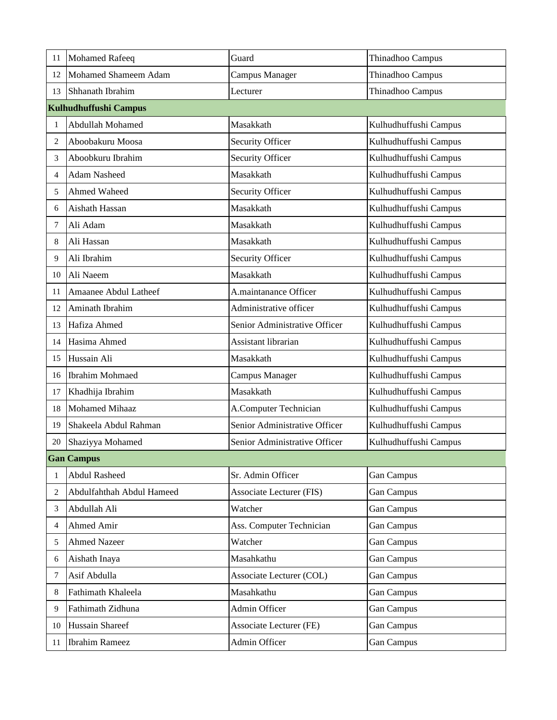| 11           | <b>Mohamed Rafeeq</b>     | Guard                           | Thinadhoo Campus      |
|--------------|---------------------------|---------------------------------|-----------------------|
| 12           | Mohamed Shameem Adam      | Campus Manager                  | Thinadhoo Campus      |
| 13           | Shhanath Ibrahim          | Lecturer                        | Thinadhoo Campus      |
|              | Kulhudhuffushi Campus     |                                 |                       |
| 1            | Abdullah Mohamed          | Masakkath                       | Kulhudhuffushi Campus |
| 2            | Aboobakuru Moosa          | Security Officer                | Kulhudhuffushi Campus |
| 3            | Aboobkuru Ibrahim         | <b>Security Officer</b>         | Kulhudhuffushi Campus |
| 4            | <b>Adam Nasheed</b>       | Masakkath                       | Kulhudhuffushi Campus |
| 5            | Ahmed Waheed              | Security Officer                | Kulhudhuffushi Campus |
| 6            | Aishath Hassan            | Masakkath                       | Kulhudhuffushi Campus |
| 7            | Ali Adam                  | Masakkath                       | Kulhudhuffushi Campus |
| 8            | Ali Hassan                | Masakkath                       | Kulhudhuffushi Campus |
| 9            | Ali Ibrahim               | Security Officer                | Kulhudhuffushi Campus |
| 10           | Ali Naeem                 | Masakkath                       | Kulhudhuffushi Campus |
| 11           | Amaanee Abdul Latheef     | A.maintanance Officer           | Kulhudhuffushi Campus |
| 12           | Aminath Ibrahim           | Administrative officer          | Kulhudhuffushi Campus |
| 13           | Hafiza Ahmed              | Senior Administrative Officer   | Kulhudhuffushi Campus |
| 14           | Hasima Ahmed              | Assistant librarian             | Kulhudhuffushi Campus |
| 15           | Hussain Ali               | Masakkath                       | Kulhudhuffushi Campus |
| 16           | <b>Ibrahim Mohmaed</b>    | Campus Manager                  | Kulhudhuffushi Campus |
| 17           | Khadhija Ibrahim          | Masakkath                       | Kulhudhuffushi Campus |
| 18           | <b>Mohamed Mihaaz</b>     | A.Computer Technician           | Kulhudhuffushi Campus |
| 19           | Shakeela Abdul Rahman     | Senior Administrative Officer   | Kulhudhuffushi Campus |
| 20           | Shaziyya Mohamed          | Senior Administrative Officer   | Kulhudhuffushi Campus |
|              | <b>Gan Campus</b>         |                                 |                       |
| $\mathbf{1}$ | Abdul Rasheed             | Sr. Admin Officer               | Gan Campus            |
| 2            | Abdulfahthah Abdul Hameed | <b>Associate Lecturer (FIS)</b> | Gan Campus            |
| 3            | Abdullah Ali              | Watcher                         | <b>Gan Campus</b>     |
| 4            | Ahmed Amir                | Ass. Computer Technician        | Gan Campus            |
| 5            | <b>Ahmed Nazeer</b>       | Watcher                         | Gan Campus            |
| 6            | Aishath Inaya             | Masahkathu                      | <b>Gan Campus</b>     |
| 7            | Asif Abdulla              | Associate Lecturer (COL)        | Gan Campus            |
| 8            | Fathimath Khaleela        | Masahkathu                      | Gan Campus            |
| 9            | Fathimath Zidhuna         | Admin Officer                   | Gan Campus            |
| 10           | Hussain Shareef           | <b>Associate Lecturer (FE)</b>  | <b>Gan Campus</b>     |
| 11           | <b>Ibrahim Rameez</b>     | Admin Officer                   | Gan Campus            |